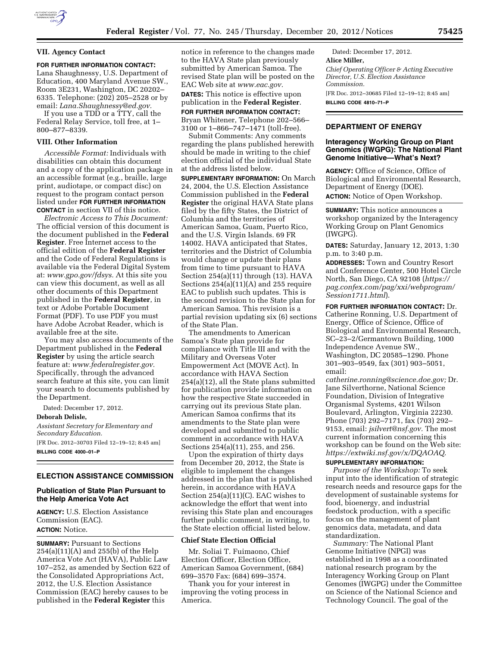

# **VII. Agency Contact**

**FOR FURTHER INFORMATION CONTACT:** 

Lana Shaughnessy, U.S. Department of Education, 400 Maryland Avenue SW., Room 3E231, Washington, DC 20202– 6335. Telephone: (202) 205–2528 or by email: *[Lana.Shaughnessy@ed.gov.](mailto:Lana.Shaughnessy@ed.gov)* 

If you use a TDD or a TTY, call the Federal Relay Service, toll free, at 1– 800–877–8339.

#### **VIII. Other Information**

*Accessible Format:* Individuals with disabilities can obtain this document and a copy of the application package in an accessible format (e.g., braille, large print, audiotape, or compact disc) on request to the program contact person listed under **FOR FURTHER INFORMATION CONTACT** in section VII of this notice.

*Electronic Access to This Document:*  The official version of this document is the document published in the **Federal Register**. Free Internet access to the official edition of the **Federal Register**  and the Code of Federal Regulations is available via the Federal Digital System at: *[www.gpo.gov/fdsys.](http://www.gpo.gov/fdsys)* At this site you can view this document, as well as all other documents of this Department published in the **Federal Register**, in text or Adobe Portable Document Format (PDF). To use PDF you must have Adobe Acrobat Reader, which is available free at the site.

You may also access documents of the Department published in the **Federal Register** by using the article search feature at: *[www.federalregister.gov.](http://www.federalregister.gov)*  Specifically, through the advanced search feature at this site, you can limit your search to documents published by the Department.

Dated: December 17, 2012.

**Deborah Delisle,** 

*Assistant Secretary for Elementary and Secondary Education.* 

[FR Doc. 2012–30703 Filed 12–19–12; 8:45 am] **BILLING CODE 4000–01–P** 

## **ELECTION ASSISTANCE COMMISSION**

#### **Publication of State Plan Pursuant to the Help America Vote Act**

**AGENCY:** U.S. Election Assistance Commission (EAC). **ACTION:** Notice.

**SUMMARY:** Pursuant to Sections 254(a)(11)(A) and 255(b) of the Help America Vote Act (HAVA), Public Law 107–252, as amended by Section 622 of the Consolidated Appropriations Act, 2012, the U.S. Election Assistance Commission (EAC) hereby causes to be published in the **Federal Register** this

notice in reference to the changes made to the HAVA State plan previously submitted by American Samoa. The revised State plan will be posted on the EAC Web site at *[www.eac.gov.](http://www.eac.gov)* 

**DATES:** This notice is effective upon publication in the **Federal Register**.

**FOR FURTHER INFORMATION CONTACT:**  Bryan Whitener, Telephone 202–566– 3100 or 1–866–747–1471 (toll-free).

Submit Comments: Any comments regarding the plans published herewith should be made in writing to the chief election official of the individual State at the address listed below.

**SUPPLEMENTARY INFORMATION:** On March 24, 2004, the U.S. Election Assistance Commission published in the **Federal Register** the original HAVA State plans filed by the fifty States, the District of Columbia and the territories of American Samoa, Guam, Puerto Rico, and the U.S. Virgin Islands. 69 FR 14002. HAVA anticipated that States, territories and the District of Columbia would change or update their plans from time to time pursuant to HAVA Section 254(a)(11) through (13). HAVA Sections 254(a)(11)(A) and 255 require EAC to publish such updates. This is the second revision to the State plan for American Samoa. This revision is a partial revision updating six (6) sections of the State Plan.

The amendments to American Samoa's State plan provide for compliance with Title III and with the Military and Overseas Voter Empowerment Act (MOVE Act). In accordance with HAVA Section 254(a)(12), all the State plans submitted for publication provide information on how the respective State succeeded in carrying out its previous State plan. American Samoa confirms that its amendments to the State plan were developed and submitted to public comment in accordance with HAVA Sections 254(a)(11), 255, and 256.

Upon the expiration of thirty days from December 20, 2012, the State is eligible to implement the changes addressed in the plan that is published herein, in accordance with HAVA Section 254(a)(11)(C). EAC wishes to acknowledge the effort that went into revising this State plan and encourages further public comment, in writing, to the State election official listed below.

#### **Chief State Election Official**

Mr. Soliai T. Fuimaono, Chief Election Officer, Election Office, American Samoa Government, (684) 699–3570 Fax: (684) 699–3574.

Thank you for your interest in improving the voting process in America.

Dated: December 17, 2012. **Alice Miller,**  *Chief Operating Officer & Acting Executive Director, U.S. Election Assistance Commission.*  [FR Doc. 2012–30685 Filed 12–19–12; 8:45 am]

**BILLING CODE 4810–71–P** 

### **DEPARTMENT OF ENERGY**

## **Interagency Working Group on Plant Genomics (IWGPG): The National Plant Genome Initiative—What's Next?**

**AGENCY:** Office of Science, Office of Biological and Environmental Research, Department of Energy (DOE). **ACTION:** Notice of Open Workshop.

**SUMMARY:** This notice announces a workshop organized by the Interagency Working Group on Plant Genomics (IWGPG).

**DATES:** Saturday, January 12, 2013, 1:30 p.m. to 3:40 p.m.

**ADDRESSES:** Town and Country Resort and Conference Center, 500 Hotel Circle North, San Diego, CA 92108 (*[https://](https://pag.confex.com/pag/xxi/webprogram/Session1711.html)  [pag.confex.com/pag/xxi/webprogram/](https://pag.confex.com/pag/xxi/webprogram/Session1711.html) [Session1711.html](https://pag.confex.com/pag/xxi/webprogram/Session1711.html)*).

**FOR FURTHER INFORMATION CONTACT:** Dr. Catherine Ronning, U.S. Department of Energy, Office of Science, Office of Biological and Environmental Research, SC–23–2/Germantown Building, 1000 Independence Avenue SW., Washington, DC 20585–1290. Phone 301–903–9549, fax (301) 903–5051, email:

*[catherine.ronning@science.doe.gov;](mailto:catherine.ronning@science.doe.gov)* Dr. Jane Silverthorne, National Science Foundation, Division of Integrative Organismal Systems, 4201 Wilson Boulevard, Arlington, Virginia 22230. Phone (703) 292–7171, fax (703) 292– 9153, email: *[jsilvert@nsf.gov.](mailto:jsilvert@nsf.gov)* The most current information concerning this workshop can be found on the Web site: *[https://extwiki.nsf.gov/x/DQAOAQ.](https://extwiki.nsf.gov/x/DQAOAQ)* 

## **SUPPLEMENTARY INFORMATION:**

*Purpose of the Workshop:* To seek input into the identification of strategic research needs and resource gaps for the development of sustainable systems for food, bioenergy, and industrial feedstock production, with a specific focus on the management of plant genomics data, metadata, and data standardization.

*Summary:* The National Plant Genome Initiative (NPGI) was established in 1998 as a coordinated national research program by the Interagency Working Group on Plant Genomes (IWGPG) under the Committee on Science of the National Science and Technology Council. The goal of the